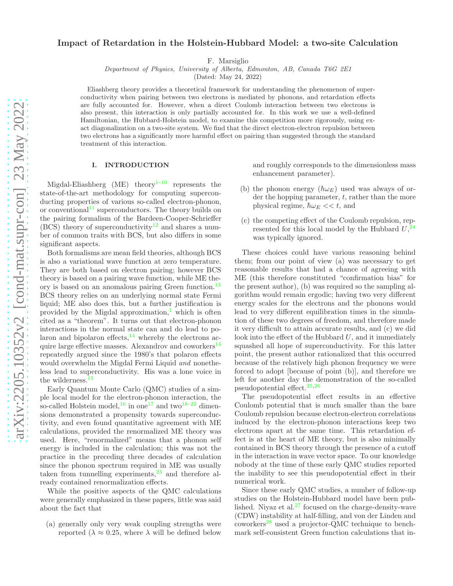# Impact of Retardation in the Holstein-Hubbard Model: a two-site Calculation

F. Marsiglio

Department of Physics, University of Alberta, Edmonton, AB, Canada T6G 2E1

(Dated: May 24, 2022)

Eliashberg theory provides a theoretical framework for understanding the phenomenon of superconductivity when pairing between two electrons is mediated by phonons, and retardation effects are fully accounted for. However, when a direct Coulomb interaction between two electrons is also present, this interaction is only partially accounted for. In this work we use a well-defined Hamiltonian, the Hubbard-Holstein model, to examine this competition more rigorously, using exact diagonalization on a two-site system. We find that the direct electron-electron repulsion between two electrons has a significantly more harmful effect on pairing than suggested through the standard treatment of this interaction.

### I. INTRODUCTION

Migdal-Eliashberg (ME) theory<sup>[1](#page-8-0)[–10](#page-8-1)</sup> represents the state-of-the-art methodology for computing superconducting properties of various so-called electron-phonon, or conventional<sup>[11](#page-8-2)</sup> superconductors. The theory builds on the pairing formalism of the Bardeen-Cooper-Schrieffer (BCS) theory of superconductivity<sup>[12](#page-8-3)</sup> and shares a number of common traits with BCS, but also differs in some significant aspects.

Both formalisms are mean field theories, although BCS is also a variational wave function at zero temperature. They are both based on electron pairing; however BCS theory is based on a pairing wave function, while ME the-ory is based on an anomalous pairing Green function.<sup>[13](#page-8-4)</sup> BCS theory relies on an underlying normal state Fermi liquid; ME also does this, but a further justification is provided by the Migdal approximation, $\frac{1}{1}$  $\frac{1}{1}$  $\frac{1}{1}$  which is often cited as a "theorem". It turns out that electron-phonon interactions in the normal state can and do lead to polaron and bipolaron effects, $14$  whereby the electrons ac-quire large effective masses. Alexandrov and coworkers<sup>[14](#page-8-5)</sup> repeatedly argued since the 1980's that polaron effects would overwhelm the Migdal Fermi Liquid and nonetheless lead to superconductivity. His was a lone voice in the wilderness.<sup>[15](#page-8-6)</sup>

Early Quantum Monte Carlo (QMC) studies of a simple local model for the electron-phonon interaction, the so-called Holstein model,<sup>[16](#page-8-7)</sup> in one<sup>[17](#page-8-8)</sup> and two<sup>[18](#page-8-9)[–22](#page-8-10)</sup> dimensions demonstrated a propensity towards superconductivity, and even found quantitative agreement with ME calculations, provided the renormalized ME theory was used. Here, "renormalized" means that a phonon self energy is included in the calculation; this was not the practice in the preceding three decades of calculation since the phonon spectrum required in ME was usually taken from tunnelling experiments, $^{23}$  $^{23}$  $^{23}$  and therefore already contained renormalization effects.

While the positive aspects of the QMC calculations were generally emphasized in these papers, little was said about the fact that

(a) generally only very weak coupling strengths were reported ( $\lambda \approx 0.25$ , where  $\lambda$  will be defined below

and roughly corresponds to the dimensionless mass enhancement parameter).

- (b) the phonon energy  $(\hbar\omega_E)$  used was always of order the hopping parameter,  $t$ , rather than the more physical regime,  $\hbar\omega_E \ll t$ , and
- (c) the competing effect of the Coulomb repulsion, represented for this local model by the Hubbard  $U<sub>1</sub><sup>24</sup>$  $U<sub>1</sub><sup>24</sup>$  $U<sub>1</sub><sup>24</sup>$ was typically ignored.

These choices could have various reasoning behind them; from our point of view (a) was necessary to get reasonable results that had a chance of agreeing with ME (this therefore constituted "confirmation bias" for the present author), (b) was required so the sampling algorithm would remain ergodic; having two very different energy scales for the electrons and the phonons would lead to very different equilibration times in the simulation of these two degrees of freedom, and therefore made it very difficult to attain accurate results, and (c) we did look into the effect of the Hubbard  $U$ , and it immediately squashed all hope of superconductivity. For this latter point, the present author rationalized that this occurred because of the relatively high phonon frequency we were forced to adopt [because of point (b)], and therefore we left for another day the demonstration of the so-called pseudopotential effect.[25](#page-8-13)[,26](#page-8-14)

The pseudopotential effect results in an effective Coulomb potential that is much smaller than the bare Coulomb repulsion because electron-electron correlations induced by the electron-phonon interactions keep two electrons apart at the same time. This retardation effect is at the heart of ME theory, but is also minimally contained in BCS theory through the presence of a cutoff in the interaction in wave vector space. To our knowledge nobody at the time of these early QMC studies reported the inability to see this pseudopotential effect in their numerical work.

Since these early QMC studies, a number of follow-up studies on the Holstein-Hubbard model have been published. Niyaz et al. $27$  focused on the charge-density-wave (CDW) instability at half-filling, and von der Linden and  $convorkers<sup>28</sup>$  $convorkers<sup>28</sup>$  $convorkers<sup>28</sup>$  used a projector-QMC technique to benchmark self-consistent Green function calculations that in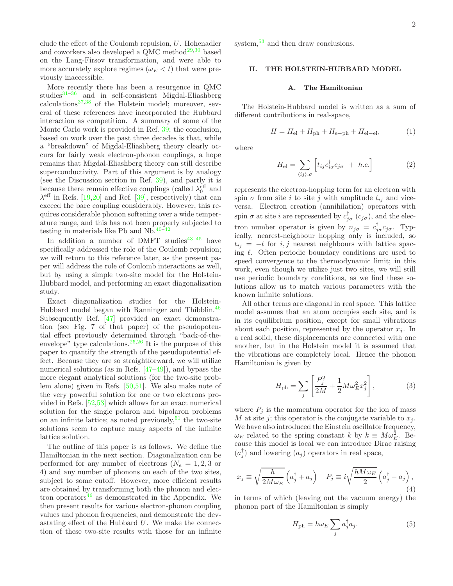clude the effect of the Coulomb repulsion,  $U$ . Hohenadler and coworkers also developed a QMC method<sup>[29](#page-9-2)[,30](#page-9-3)</sup> based on the Lang-Firsov transformation, and were able to more accurately explore regimes  $(\omega_E < t)$  that were previously inaccessible.

More recently there has been a resurgence in QMC studies $31-36$  $31-36$  and in self-consistent Migdal-Eliashberg calculations[37](#page-9-6)[,38](#page-9-7) of the Holstein model; moreover, several of these references have incorporated the Hubbard interaction as competition. A summary of some of the Monte Carlo work is provided in Ref. [39;](#page-9-8) the conclusion, based on work over the past three decades is that, while a "breakdown" of Migdal-Eliashberg theory clearly occurs for fairly weak electron-phonon couplings, a hope remains that Migdal-Eliashberg theory can still describe superconductivity. Part of this argument is by analogy (see the Discussion section in Ref. [39](#page-9-8)), and partly it is because there remain effective couplings (called  $\lambda_0^{\text{eff}}$  and  $\lambda^{\text{eff}}$  in Refs. [\[19](#page-8-15)[,20](#page-8-16)] and Ref. [\[39\]](#page-9-8), respectively) that can exceed the bare coupling considerably. However, this requires considerable phonon softening over a wide temperature range, and this has not been properly subjected to testing in materials like Pb and Nb. $40-42$  $40-42$ 

In addition a number of DMFT studies  $43-45$  $43-45$  have specifically addressed the role of the Coulomb repulsion; we will return to this reference later, as the present paper will address the role of Coulomb interactions as well, but by using a simple two-site model for the Holstein-Hubbard model, and performing an exact diagonalization study.

Exact diagonalization studies for the Holstein-Hubbard model began with Ranninger and Thibblin.<sup>[46](#page-9-13)</sup> Subsequently Ref. [\[47](#page-9-14)] provided an exact demonstration (see Fig. 7 of that paper) of the pseudopotential effect previously determined through "back-of-theenvelope" type calculations. $25,26$  $25,26$  It is the purpose of this paper to quantify the strength of the pseudopotential effect. Because they are so straightforward, we will utilize numerical solutions (as in Refs. [\[47](#page-9-14)[–49](#page-9-15)]), and bypass the more elegant analytical solutions (for the two-site problem alone) given in Refs. [\[50](#page-9-16)[,51\]](#page-9-17). We also make note of the very powerful solution for one or two electrons provided in Refs. [\[52](#page-9-18)[,53\]](#page-9-19) which allows for an exact numerical solution for the single polaron and bipolaron problems on an infinite lattice; as noted previously,  $51$  the two-site solutions seem to capture many aspects of the infinite lattice solution.

The outline of this paper is as follows. We define the Hamiltonian in the next section. Diagonalization can be performed for any number of electrons ( $N_e = 1, 2, 3$  or 4) and any number of phonons on each of the two sites, subject to some cutoff. However, more efficient results are obtained by transforming both the phonon and elec-tron operators<sup>[46](#page-9-13)</sup> as demonstrated in the Appendix. We then present results for various electron-phonon coupling values and phonon frequencies, and demonstrate the devastating effect of the Hubbard U. We make the connection of these two-site results with those for an infinite

system,<sup>[53](#page-9-19)</sup> and then draw conclusions.

# II. THE HOLSTEIN-HUBBARD MODEL

#### A. The Hamiltonian

The Holstein-Hubbard model is written as a sum of different contributions in real-space,

<span id="page-1-0"></span>
$$
H = H_{\rm el} + H_{\rm ph} + H_{\rm e-ph} + H_{\rm el-el},\tag{1}
$$

where

$$
H_{\rm el} = \sum_{\langle ij \rangle,\sigma} \left[ t_{ij} c_{i\sigma}^{\dagger} c_{j\sigma} + h.c. \right] \tag{2}
$$

represents the electron-hopping term for an electron with spin  $\sigma$  from site i to site j with amplitude  $t_{ij}$  and viceversa. Electron creation (annihilation) operators with spin  $\sigma$  at site *i* are represented by  $c_{j\sigma}^{\dagger}$  ( $c_{j\sigma}$ ), and the electron number operator is given by  $n_{j\sigma} = c_{j\sigma}^{\dagger} c_{j\sigma}$ . Typically, nearest-neighbour hopping only is included, so  $t_{ij} = -t$  for  $i, j$  nearest neighbours with lattice spacing  $\ell$ . Often periodic boundary conditions are used to speed convergence to the thermodynamic limit; in this work, even though we utilize just two sites, we will still use periodic boundary conditions, as we find these solutions allow us to match various parameters with the known infinite solutions.

All other terms are diagonal in real space. This lattice model assumes that an atom occupies each site, and is in its equilibrium position, except for small vibrations about each position, represented by the operator  $x_i$ . In a real solid, these displacements are connected with one another, but in the Holstein model it is assumed that the vibrations are completely local. Hence the phonon Hamiltonian is given by

$$
H_{\rm ph} = \sum_{j} \left[ \frac{P_j^2}{2M} + \frac{1}{2} M \omega_E^2 x_j^2 \right],
$$
 (3)

where  $P_i$  is the momentum operator for the ion of mass M at site j; this operator is the conjugate variable to  $x_j$ . We have also introduced the Einstein oscillator frequency,  $\omega_E$  related to the spring constant k by  $k \equiv M \omega_E^2$ . Because this model is local we can introduce Dirac raising  $(a_j^{\dagger})$  and lowering  $(a_j)$  operators in real space,

$$
x_j \equiv \sqrt{\frac{\hbar}{2M\omega_E}} \left( a_j^{\dagger} + a_j \right) \quad P_j \equiv i\sqrt{\frac{\hbar M \omega_E}{2}} \left( a_j^{\dagger} - a_j \right), \tag{4}
$$

in terms of which (leaving out the vacuum energy) the phonon part of the Hamiltonian is simply

$$
H_{\rm ph} = \hbar \omega_E \sum_j a_j^{\dagger} a_j. \tag{5}
$$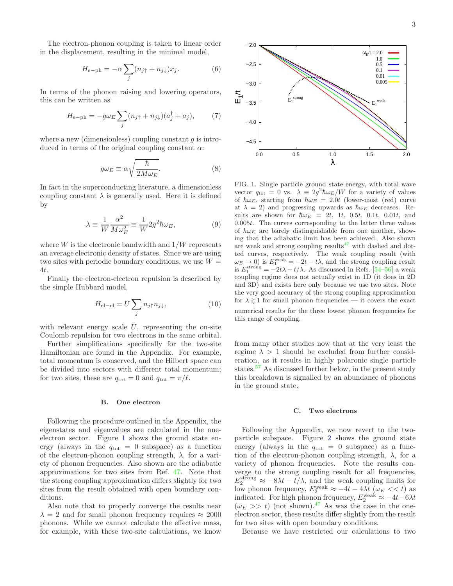The electron-phonon coupling is taken to linear order in the displacement, resulting in the minimal model,

$$
H_{\rm e-ph} = -\alpha \sum_{j} (n_{j\uparrow} + n_{j\downarrow}) x_j.
$$
 (6)

In terms of the phonon raising and lowering operators, this can be written as

$$
H_{\rm e-ph} = -g\omega_E \sum_j (n_{j\uparrow} + n_{j\downarrow}) (a_j^{\dagger} + a_j), \tag{7}
$$

where a new (dimensionless) coupling constant  $q$  is introduced in terms of the original coupling constant  $\alpha$ :

$$
g\omega_E \equiv \alpha \sqrt{\frac{\hbar}{2M\omega_E}}.\tag{8}
$$

In fact in the superconducting literature, a dimensionless coupling constant  $\lambda$  is generally used. Here it is defined by

$$
\lambda \equiv \frac{1}{W} \frac{\alpha^2}{M \omega_E^2} \equiv \frac{1}{W} 2g^2 \hbar \omega_E, \qquad (9)
$$

where  $W$  is the electronic bandwidth and  $1/W$  represents an average electronic density of states. Since we are using two sites with periodic boundary conditions, we use  $W =$ 4t.

Finally the electron-electron repulsion is described by the simple Hubbard model,

$$
H_{\text{el}-\text{el}} = U \sum_{j} n_{j\uparrow} n_{j\downarrow}, \qquad (10)
$$

with relevant energy scale  $U$ , representing the on-site Coulomb repulsion for two electrons in the same orbital.

Further simplifications specifically for the two-site Hamiltonian are found in the Appendix. For example, total momentum is conserved, and the Hilbert space can be divided into sectors with different total momentum; for two sites, these are  $q_{\text{tot}} = 0$  and  $q_{\text{tot}} = \pi/\ell$ .

### B. One electron

Following the procedure outlined in the Appendix, the eigenstates and eigenvalues are calculated in the oneelectron sector. Figure [1](#page-2-0) shows the ground state energy (always in the  $q_{\text{tot}} = 0$  subspace) as a function of the electron-phonon coupling strength,  $\lambda$ , for a variety of phonon frequencies. Also shown are the adiabatic approximations for two sites from Ref. [47.](#page-9-14) Note that the strong coupling approximation differs slightly for two sites from the result obtained with open boundary conditions.

Also note that to properly converge the results near  $\lambda = 2$  and for small phonon frequency requires  $\approx 2000$ phonons. While we cannot calculate the effective mass, for example, with these two-site calculations, we know



<span id="page-2-0"></span>FIG. 1. Single particle ground state energy, with total wave vector  $q_{\text{tot}} = 0$  vs.  $\lambda = 2g^2 \hbar \omega_E / W$  for a variety of values of  $\hbar\omega_E$ , starting from  $\hbar\omega_E = 2.0t$  (lower-most (red) curve at  $\lambda = 2$ ) and progressing upwards as  $\hbar \omega_E$  decreases. Results are shown for  $\hbar \omega_E = 2t$ , 1t, 0.5t, 0.1t, 0.01t, and 0.005t. The curves corresponding to the latter three values of  $\hbar\omega_E$  are barely distinguishable from one another, showing that the adiabatic limit has been achieved. Also shown are weak and strong coupling results<sup> $47$ </sup> with dashed and dotted curves, respectively. The weak coupling result (with  $\omega_E \to 0$ ) is  $E_1^{\text{weak}} = -2t - t\lambda$ , and the strong coupling result is  $E_1^{\text{strong}} = -2t\lambda - t/\lambda$ . As discussed in Refs. [\[54](#page-9-20)[–56](#page-9-21)] a weak coupling regime does not actually exist in 1D (it does in 2D and 3D) and exists here only because we use two sites. Note the very good accuracy of the strong coupling approximation for  $\lambda \gtrsim 1$  for small phonon frequencies — it covers the exact numerical results for the three lowest phonon frequencies for this range of coupling.

from many other studies now that at the very least the regime  $\lambda > 1$  should be excluded from further consideration, as it results in highly polaronic single particle states.<sup>[57](#page-9-22)</sup> As discussed further below, in the present study this breakdown is signalled by an abundance of phonons in the ground state.

### C. Two electrons

Following the Appendix, we now revert to the twoparticle subspace. Figure [2](#page-3-0) shows the ground state energy (always in the  $q_{\text{tot}} = 0$  subspace) as a function of the electron-phonon coupling strength,  $\lambda$ , for a variety of phonon frequencies. Note the results converge to the strong coupling result for all frequencies,  $E_2^{\text{strong}} \approx -8\lambda t - t/\lambda$ , and the weak coupling limits for low phonon frequency,  $E_2^{\text{weak}} \approx -4t - 4\lambda t \ (\omega_E \ll t)$  as indicated. For high phonon frequency,  $E_2^{\text{weak}} \approx -4t-6\lambda t$  $(\omega_E \gg t)$  (not shown).<sup>[47](#page-9-14)</sup> As was the case in the oneelectron sector, these results differ slightly from the result for two sites with open boundary conditions.

Because we have restricted our calculations to two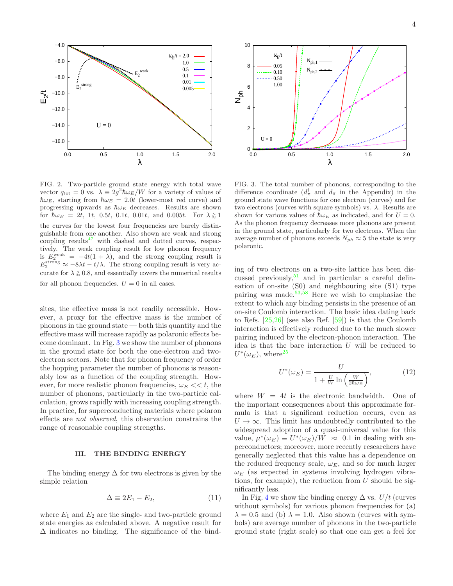

<span id="page-3-0"></span>FIG. 2. Two-particle ground state energy with total wave vector  $q_{\text{tot}} = 0$  vs.  $\lambda \equiv 2g^2 \hbar \omega_E / W$  for a variety of values of  $\hbar\omega_E$ , starting from  $\hbar\omega_E = 2.0t$  (lower-most red curve) and progressing upwards as  $\hbar\omega_E$  decreases. Results are shown for  $\hbar \omega_E = 2t, 1t, 0.5t, 0.1t, 0.01t, \text{ and } 0.005t.$  For  $\lambda \geq 1$ the curves for the lowest four frequencies are barely distinguishable from one another. Also shown are weak and strong coupling results $47$  with dashed and dotted curves, respectively. The weak coupling result for low phonon frequency is  $E_2^{\text{weak}} = -4t(1+\lambda)$ , and the strong coupling result is  $E_2^{\text{strong}} \approx -8\lambda t - t/\lambda$ . The strong coupling result is very accurate for  $\lambda \geq 0.8$ , and essentially covers the numerical results for all phonon frequencies.  $U = 0$  in all cases.

sites, the effective mass is not readily accessible. However, a proxy for the effective mass is the number of phonons in the ground state — both this quantity and the effective mass will increase rapidly as polaronic effects become dominant. In Fig. [3](#page-3-1) we show the number of phonons in the ground state for both the one-electron and twoelectron sectors. Note that for phonon frequency of order the hopping parameter the number of phonons is reasonably low as a function of the coupling strength. However, for more realistic phonon frequencies,  $\omega_E \ll t$ , the number of phonons, particularly in the two-particle calculation, grows rapidly with increasing coupling strength. In practice, for superconducting materials where polaron effects are not observed, this observation constrains the range of reasonable coupling strengths.

# III. THE BINDING ENERGY

The binding energy  $\Delta$  for two electrons is given by the simple relation

$$
\Delta \equiv 2E_1 - E_2, \tag{11}
$$

where  $E_1$  and  $E_2$  are the single- and two-particle ground state energies as calculated above. A negative result for ∆ indicates no binding. The significance of the bind-



<span id="page-3-1"></span>FIG. 3. The total number of phonons, corresponding to the difference coordinate  $(d^{\dagger}_{\pi}$  and  $d_{\pi}$  in the Appendix) in the ground state wave functions for one electron (curves) and for two electrons (curves with square symbols) vs.  $\lambda$ . Results are shown for various values of  $\hbar\omega_E$  as indicated, and for  $U=0$ . As the phonon frequency decreases more phonons are present in the ground state, particularly for two electrons. When the average number of phonons exceeds  $N_{ph} \approx 5$  the state is very polaronic.

ing of two electrons on a two-site lattice has been discussed previously,  $51$  and in particular a careful delineation of on-site (S0) and neighbouring site (S1) type pairing was made. $53,58$  $53,58$  Here we wish to emphasize the extent to which any binding persists in the presence of an on-site Coulomb interaction. The basic idea dating back to Refs. [\[25](#page-8-13)[,26\]](#page-8-14) (see also Ref. [\[59](#page-9-24)]) is that the Coulomb interaction is effectively reduced due to the much slower pairing induced by the electron-phonon interaction. The idea is that the bare interaction  $U$  will be reduced to  $U^*(\omega_E)$ , where<sup>[25](#page-8-13)</sup>

<span id="page-3-2"></span>
$$
U^*(\omega_E) = \frac{U}{1 + \frac{U}{W} \ln\left(\frac{W}{2\hbar\omega_E}\right)},\tag{12}
$$

where  $W = 4t$  is the electronic bandwidth. One of the important consequences about this approximate formula is that a significant reduction occurs, even as  $U \rightarrow \infty$ . This limit has undoubtedly contributed to the widespread adoption of a quasi-universal value for this value,  $\mu^*(\omega_E) \equiv U^*(\omega_E)/W \approx 0.1$  in dealing with superconductors; moreover, more recently researchers have generally neglected that this value has a dependence on the reduced frequency scale,  $\omega_E$ , and so for much larger  $\omega_E$  (as expected in systems involving hydrogen vibrations, for example), the reduction from  $U$  should be significantly less.

In Fig. [4](#page-4-0) we show the binding energy  $\Delta$  vs.  $U/t$  (curves without symbols) for various phonon frequencies for (a)  $\lambda = 0.5$  and (b)  $\lambda = 1.0$ . Also shown (curves with symbols) are average number of phonons in the two-particle ground state (right scale) so that one can get a feel for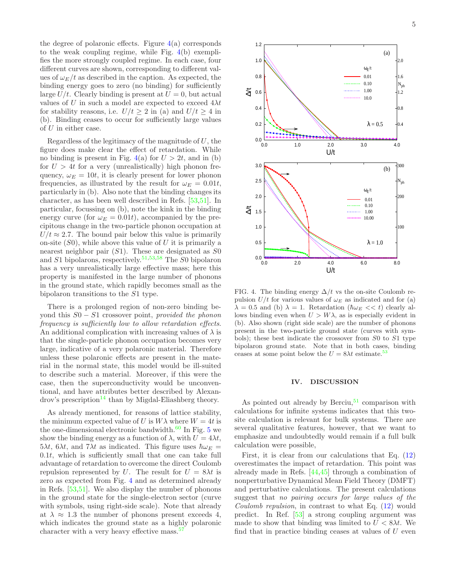the degree of polaronic effects. Figure  $4(a)$  $4(a)$  corresponds to the weak coupling regime, while Fig. [4\(](#page-4-0)b) exemplifies the more strongly coupled regime. In each case, four different curves are shown, corresponding to different values of  $\omega_E/t$  as described in the caption. As expected, the binding energy goes to zero (no binding) for sufficiently large  $U/t$ . Clearly binding is present at  $U = 0$ , but actual values of U in such a model are expected to exceed  $4\lambda t$ for stability reasons, i.e.  $U/t > 2$  in (a) and  $U/t > 4$  in (b). Binding ceases to occur for sufficiently large values of U in either case.

Regardless of the legitimacy of the magnitude of  $U$ , the figure does make clear the effect of retardation. While no binding is present in Fig. [4\(](#page-4-0)a) for  $U > 2t$ , and in (b) for  $U > 4t$  for a very (unrealistically) high phonon frequency,  $\omega_E = 10t$ , it is clearly present for lower phonon frequencies, as illustrated by the result for  $\omega_E = 0.01t$ , particularly in (b). Also note that the binding changes its character, as has been well described in Refs. [\[53](#page-9-19)[,51\]](#page-9-17). In particular, focussing on (b), note the kink in the binding energy curve (for  $\omega_E = 0.01t$ ), accompanied by the precipitous change in the two-particle phonon occupation at  $U/t \approx 2.7$ . The bound pair below this value is primarily on-site  $(S0)$ , while above this value of U it is primarily a nearest neighbor pair  $(S1)$ . These are designated as  $S0$ and  $S1$  bipolarons, respectively.<sup>[51](#page-9-17)[,53](#page-9-19)[,58](#page-9-23)</sup> The  $S0$  bipolaron has a very unrealistically large effective mass; here this property is manifested in the large number of phonons in the ground state, which rapidly becomes small as the bipolaron transitions to the S1 type.

There is a prolonged region of non-zero binding beyond this  $S0 - S1$  crossover point, provided the phonon frequency is sufficiently low to allow retardation effects. An additional complication with increasing values of  $\lambda$  is that the single-particle phonon occupation becomes very large, indicative of a very polaronic material. Therefore unless these polaronic effects are present in the material in the normal state, this model would be ill-suited to describe such a material. Moreover, if this were the case, then the superconductivity would be unconventional, and have attributes better described by Alexan- $\rm{d}$ rov's prescription<sup>[14](#page-8-5)</sup> than by Migdal-Eliashberg theory.

As already mentioned, for reasons of lattice stability, the minimum expected value of U is  $W\lambda$  where  $W = 4t$  is the one-dimensional electronic bandwidth. $60$  In Fig. [5](#page-5-0) we show the binding energy as a function of  $\lambda$ , with  $U = 4\lambda t$ ,  $5\lambda t$ ,  $6\lambda t$ , and  $7\lambda t$  as indicated. This figure uses  $\hbar\omega_E =$  $0.1t$ , which is sufficiently small that one can take full advantage of retardation to overcome the direct Coulomb repulsion represented by U. The result for  $U = 8\lambda t$  is zero as expected from Fig. [4](#page-4-0) and as determined already in Refs. [\[53](#page-9-19)[,51](#page-9-17)]. We also display the number of phonons in the ground state for the single-electron sector (curve with symbols, using right-side scale). Note that already at  $\lambda \approx 1.3$  the number of phonons present exceeds 4, which indicates the ground state as a highly polaronic character with a very heavy effective mass.<sup>[57](#page-9-22)</sup>



<span id="page-4-0"></span>FIG. 4. The binding energy  $\Delta/t$  vs the on-site Coulomb repulsion  $U/t$  for various values of  $\omega_E$  as indicated and for (a)  $\lambda = 0.5$  and (b)  $\lambda = 1$ . Retardation ( $\hbar \omega_E \ll t$ ) clearly allows binding even when  $U > W\lambda$ , as is especially evident in (b). Also shown (right side scale) are the number of phonons present in the two-particle ground state (curves with symbols); these best indicate the crossover from S0 to S1 type bipolaron ground state. Note that in both cases, binding ceases at some point below the  $U = 8\lambda t$  estimate.<sup>5</sup>

#### IV. DISCUSSION

As pointed out already by Berciu,  $51$  comparison with calculations for infinite systems indicates that this twosite calculation is relevant for bulk systems. There are several qualitative features, however, that we want to emphasize and undoubtedly would remain if a full bulk calculation were possible,

First, it is clear from our calculations that Eq. [\(12\)](#page-3-2) overestimates the impact of retardation. This point was already made in Refs. [\[44](#page-9-26)[,45\]](#page-9-12) through a combination of nonperturbative Dynamical Mean Field Theory (DMFT) and perturbative calculations. The present calculations suggest that no pairing occurs for large values of the Coulomb repulsion, in contrast to what Eq.  $(12)$  would predict. In Ref. [\[53\]](#page-9-19) a strong coupling argument was made to show that binding was limited to  $U < 8\lambda t$ . We find that in practice binding ceases at values of  $U$  even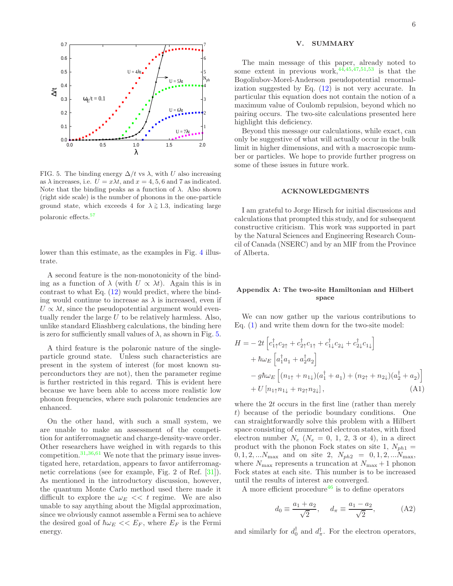

<span id="page-5-0"></span>FIG. 5. The binding energy  $\Delta/t$  vs  $\lambda$ , with U also increasing as  $\lambda$  increases, i.e.  $U = x\lambda t$ , and  $x = 4, 5, 6$  and 7 as indicated. Note that the binding peaks as a function of  $\lambda$ . Also shown (right side scale) is the number of phonons in the one-particle ground state, which exceeds 4 for  $\lambda \geq 1.3$ , indicating large polaronic effects.[57](#page-9-22)

lower than this estimate, as the examples in Fig. [4](#page-4-0) illustrate.

A second feature is the non-monotonicity of the binding as a function of  $\lambda$  (with  $U \propto \lambda t$ ). Again this is in contrast to what Eq.  $(12)$  would predict, where the binding would continue to increase as  $\lambda$  is increased, even if  $U \propto \lambda t$ , since the pseudopotential argument would eventually render the large  $U$  to be relatively harmless. Also, unlike standard Eliashberg calculations, the binding here is zero for sufficiently small values of  $\lambda$ , as shown in Fig. [5.](#page-5-0)

A third feature is the polaronic nature of the singleparticle ground state. Unless such characteristics are present in the system of interest (for most known superconductors they are not), then the parameter regime is further restricted in this regard. This is evident here because we have been able to access more realistic low phonon frequencies, where such polaronic tendencies are enhanced.

On the other hand, with such a small system, we are unable to make an assessment of the competition for antiferromagnetic and charge-density-wave order. Other researchers have weighed in with regards to this competition. $31,36,61$  $31,36,61$  $31,36,61$  We note that the primary issue investigated here, retardation, appears to favor antiferromagnetic correlations (see for example, Fig. 2 of Ref. [\[31\]](#page-9-4)). As mentioned in the introductory discussion, however, the quantum Monte Carlo method used there made it difficult to explore the  $\omega_F \ll t$  regime. We are also unable to say anything about the Migdal approximation, since we obviously cannot assemble a Fermi sea to achieve the desired goal of  $\hbar\omega_E << E_F$ , where  $E_F$  is the Fermi energy.

## V. SUMMARY

The main message of this paper, already noted to some extent in previous work,  $44,45,47,51,53$  $44,45,47,51,53$  $44,45,47,51,53$  $44,45,47,51,53$  $44,45,47,51,53$  is that the Bogoliubov-Morel-Anderson pseudopotential renormalization suggested by Eq.  $(12)$  is not very accurate. In particular this equation does not contain the notion of a maximum value of Coulomb repulsion, beyond which no pairing occurs. The two-site calculations presented here highlight this deficiency.

Beyond this message our calculations, while exact, can only be suggestive of what will actually occur in the bulk limit in higher dimensions, and with a macroscopic number or particles. We hope to provide further progress on some of these issues in future work.

# ACKNOWLEDGMENTS

I am grateful to Jorge Hirsch for initial discussions and calculations that prompted this study, and for subsequent constructive criticism. This work was supported in part by the Natural Sciences and Engineering Research Council of Canada (NSERC) and by an MIF from the Province of Alberta.

# Appendix A: The two-site Hamiltonian and Hilbert space

We can now gather up the various contributions to Eq. [\(1\)](#page-1-0) and write them down for the two-site model:

$$
H = -2t \left[ c_{1\uparrow}^{\dagger} c_{2\uparrow} + c_{2\uparrow}^{\dagger} c_{1\uparrow} + c_{1\downarrow}^{\dagger} c_{2\downarrow} + c_{2\downarrow}^{\dagger} c_{1\downarrow} \right] + \hbar \omega_E \left[ a_1^{\dagger} a_1 + a_2^{\dagger} a_2 \right] - g \hbar \omega_E \left[ (n_{1\uparrow} + n_{1\downarrow}) (a_1^{\dagger} + a_1) + (n_{2\uparrow} + n_{2\downarrow}) (a_2^{\dagger} + a_2) \right] + U \left[ n_{1\uparrow} n_{1\downarrow} + n_{2\uparrow} n_{2\downarrow} \right],
$$
 (A1)

where the 2t occurs in the first line (rather than merely t) because of the periodic boundary conditions. One can straightforwardly solve this problem with a Hilbert space consisting of enumerated electron states, with fixed electron number  $N_e$  ( $N_e = 0, 1, 2, 3$  or 4), in a direct product with the phonon Fock states on site 1,  $N_{ph1}$  =  $0, 1, 2, \ldots N_{\text{max}}$  and on site 2,  $N_{ph2} = 0, 1, 2, \ldots N_{\text{max}}$ , where  $N_{\text{max}}$  represents a truncation at  $N_{\text{max}} + 1$  phonon Fock states at each site. This number is to be increased until the results of interest are converged.

A more efficient procedure<sup>[46](#page-9-13)</sup> is to define operators

$$
d_0 \equiv \frac{a_1 + a_2}{\sqrt{2}}, \quad d_\pi \equiv \frac{a_1 - a_2}{\sqrt{2}},
$$
 (A2)

and similarly for  $d_0^{\dagger}$  and  $d_{\pi}^{\dagger}$ . For the electron operators,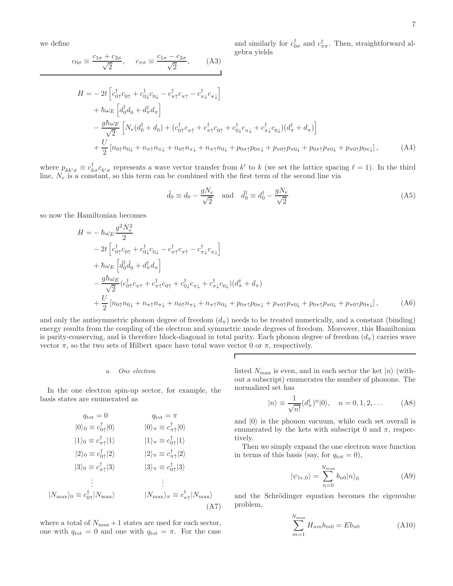we define

$$
c_{0\sigma} \equiv \frac{c_{1\sigma} + c_{2\sigma}}{\sqrt{2}}, \quad c_{\pi\sigma} \equiv \frac{c_{1\sigma} - c_{2\sigma}}{\sqrt{2}}, \quad (A3)
$$

and similarly for  $c_{0\sigma}^{\dagger}$  and  $c_{\pi\sigma}^{\dagger}$ . Then, straightforward algebra yields

$$
H = -2t \left[ c_{0\uparrow}^{\dagger} c_{0\uparrow} + c_{0\downarrow}^{\dagger} c_{0\downarrow} - c_{\pi\uparrow}^{\dagger} c_{\pi\uparrow} - c_{\pi\downarrow}^{\dagger} c_{\pi\downarrow} \right] + \hbar \omega_E \left[ d_0^{\dagger} d_0 + d_{\pi}^{\dagger} d_{\pi} \right] - \frac{g \hbar \omega_E}{\sqrt{2}} \left[ N_e (d_0^{\dagger} + d_0) + (c_{0\uparrow}^{\dagger} c_{\pi\uparrow} + c_{\pi\uparrow}^{\dagger} c_{0\uparrow} + c_{0\downarrow}^{\dagger} c_{\pi\downarrow} + c_{\pi\downarrow}^{\dagger} c_{0\downarrow}) (d_{\pi}^{\dagger} + d_{\pi}) \right] + \frac{U}{2} \left[ n_{0\uparrow} n_{0\downarrow} + n_{\pi\uparrow} n_{\pi\downarrow} + n_{0\uparrow} n_{\pi\downarrow} + n_{\pi\uparrow} n_{0\downarrow} + p_{0\pi\uparrow} p_{0\pi\downarrow} + p_{\pi0\uparrow} p_{\pi0\downarrow} + p_{0\pi\uparrow} p_{\pi0\downarrow} + p_{\pi0\uparrow} p_{0\pi\downarrow} \right], \tag{A4}
$$

where  $p_{kk'\sigma} \equiv c_{k\sigma}^{\dagger} c_{k'\sigma}$  represents a wave vector transfer from k' to k (we set the lattice spacing  $\ell = 1$ ). In the third line,  $N_e$  is a constant, so this term can be combined with the first term of the second line via

$$
\tilde{d}_0 \equiv d_0 - \frac{gN_e}{\sqrt{2}} \quad \text{and} \quad \tilde{d}_0^{\dagger} \equiv d_0^{\dagger} - \frac{gN_e}{\sqrt{2}} \tag{A5}
$$

so now the Hamiltonian becomes

$$
H = -\hbar\omega_{E}\frac{g^{2}N_{e}^{2}}{2}
$$
  
\n
$$
-2t\left[c_{0\uparrow}^{\dagger}c_{0\uparrow} + c_{0\downarrow}^{\dagger}c_{0\downarrow} - c_{\pi\uparrow}^{\dagger}c_{\pi\uparrow} - c_{\pi\downarrow}^{\dagger}c_{\pi\downarrow}\right]
$$
  
\n
$$
+\hbar\omega_{E}\left[\tilde{d}_{0}^{\dagger}\tilde{d}_{0} + d_{\pi}^{\dagger}d_{\pi}\right]
$$
  
\n
$$
-\frac{g\hbar\omega_{E}}{\sqrt{2}}(c_{0\uparrow}^{\dagger}c_{\pi\uparrow} + c_{\pi\uparrow}^{\dagger}c_{0\uparrow} + c_{0\downarrow}^{\dagger}c_{\pi\downarrow} + c_{\pi\downarrow}^{\dagger}c_{0\downarrow})(d_{\pi}^{\dagger} + d_{\pi})
$$
  
\n
$$
+\frac{U}{2}\left[n_{0\uparrow}n_{0\downarrow} + n_{\pi\uparrow}n_{\pi\downarrow} + n_{0\uparrow}n_{\pi\downarrow} + n_{\pi\uparrow}n_{0\downarrow} + p_{0\pi\uparrow}p_{0\pi\downarrow} + p_{\pi0\uparrow}p_{\pi0\downarrow} + p_{\pi0\uparrow}p_{0\pi\downarrow}\right],
$$
(A6)

and only the antisymmetric phonon degree of freedom  $(d_\pi)$  needs to be treated numerically, and a constant (binding) energy results from the coupling of the electron and symmetric mode degrees of freedom. Moreover, this Hamiltonian is parity-conserving, and is therefore block-diagonal in total parity. Each phonon degree of freedom  $(d_\pi)$  carries wave vector  $\pi$ , so the two sets of Hilbert space have total wave vector 0 or  $\pi$ , respectively.

Г

#### a. One electron

In the one electron spin-up sector, for example, the basis states are enumerated as

<span id="page-6-2"></span>
$$
q_{\text{tot}} = 0 \t q_{\text{tot}} = \pi
$$
  
\n
$$
|0\rangle_0 \equiv c_{0\uparrow}^{\dagger}|0\rangle \t |0\rangle_{\pi} \equiv c_{\pi\uparrow}^{\dagger}|0\rangle
$$
  
\n
$$
|1\rangle_0 \equiv c_{\eta\uparrow}^{\dagger}|1\rangle \t |1\rangle_{\pi} \equiv c_{0\uparrow}^{\dagger}|1\rangle
$$
  
\n
$$
|2\rangle_0 \equiv c_{0\uparrow}^{\dagger}|2\rangle \t |2\rangle_{\pi} \equiv c_{\pi\uparrow}^{\dagger}|2\rangle
$$
  
\n
$$
|3\rangle_0 \equiv c_{\pi\uparrow}^{\dagger}|3\rangle \t |3\rangle_{\pi} \equiv c_{0\uparrow}^{\dagger}|3\rangle
$$
  
\n
$$
\vdots \t \vdots \t \vdots
$$
  
\n
$$
|N_{\text{max}}\rangle_0 \equiv c_{0\uparrow}^{\dagger}|N_{\text{max}}\rangle \t |N_{\text{max}}\rangle_{\pi} \equiv c_{\pi\uparrow}^{\dagger}|N_{\text{max}}\rangle
$$
  
\n
$$
(A7)
$$

where a total of  $N_{\text{max}} + 1$  states are used for each sector, one with  $q_{\text{tot}} = 0$  and one with  $q_{\text{tot}} = \pi$ . For the case listed  $N_{\max}$  is even, and in each sector the ket  $|n\rangle$  (without a subscript) enumerates the number of phonons. The normalized set has

<span id="page-6-1"></span>
$$
|n\rangle \equiv \frac{1}{\sqrt{n!}} (d_{\pi}^{\dagger})^n |0\rangle, \quad n = 0, 1, 2, \dots
$$
 (A8)

and  $|0\rangle$  is the phonon vacuum, while each set overall is enumerated by the kets with subscript 0 and  $\pi$ , respectively.

Then we simply expand the one electron wave function in terms of this basis (say, for  $q_{\text{tot}} = 0$ ),

<span id="page-6-0"></span>
$$
|\psi_{1e,0}\rangle = \sum_{n=0}^{N_{\text{max}}} b_{n0} |n\rangle_0
$$
 (A9)

and the Schrödinger equation becomes the eigenvalue problem,

$$
\sum_{m=1}^{N_{\text{max}}} H_{nm} b_{m0} = Eb_{n0}
$$
 (A10)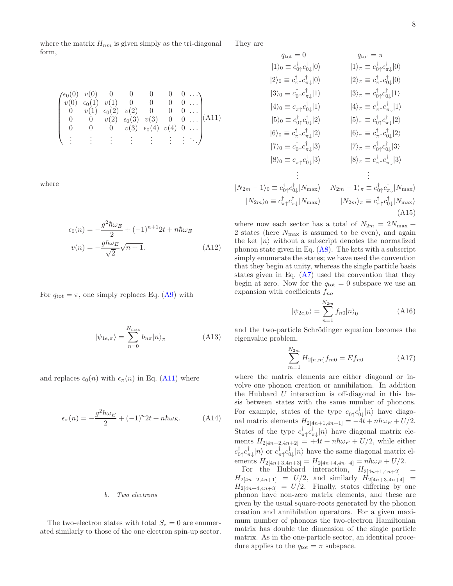where the matrix  $H_{nm}$  is given simply as the tri-diagonal form,

<span id="page-7-0"></span> $\int_0^1 f(t) \cdot v(0) \cdot 0 \cdot 0 \cdot 0 \cdot 0 \cdot 0 \cdot 0$  $\overline{\phantom{a}}$  $v(0) \epsilon_0(1) v(1) 0 0 0 0 ...$  $0 \t v(1) \t \epsilon_0(2) \t v(2) \t 0 \t 0 \t 0 \ldots$  $0 \t 0 \t v(2) \t \epsilon_0(3) \t v(3) \t 0 \t 0 \ldots$ 0 0 0  $v(3) \epsilon_0(4) v(4) 0 \ldots$ . . . . . . . . . . . . . . . . . . . . . . . .  $\setminus$  $\begin{bmatrix} 1 & 0 & 0 \\ 0 & 0 & 0 \\ 0 & 0 & 0 \\ 0 & 0 & 0 \\ 0 & 0 & 0 \\ 0 & 0 & 0 \\ 0 & 0 & 0 \\ 0 & 0 & 0 \\ 0 & 0 & 0 & 0 \\ 0 & 0 & 0 & 0 \\ 0 & 0 & 0 & 0 \\ 0 & 0 & 0 & 0 \\ 0 & 0 & 0 & 0 & 0 \\ 0 & 0 & 0 & 0 & 0 \\ 0 & 0 & 0 & 0 & 0 \\ 0 & 0 & 0 & 0 & 0 & 0 \\ 0 & 0 & 0 & 0 & 0 & 0 \\ 0 & 0 & 0 & 0 &$ (A11)

where

$$
\epsilon_0(n) = -\frac{g^2 \hbar \omega_E}{2} + (-1)^{n+1} 2t + n \hbar \omega_E
$$
  

$$
v(n) = -\frac{g \hbar \omega_E}{\sqrt{2}} \sqrt{n+1}.
$$
 (A12)

For  $q_{\text{tot}} = \pi$ , one simply replaces Eq. [\(A9\)](#page-6-0) with

$$
|\psi_{1e,\pi}\rangle = \sum_{n=0}^{N_{\text{max}}} b_{n\pi} |n\rangle_{\pi}
$$
 (A13)

and replaces  $\epsilon_0(n)$  with  $\epsilon_\pi(n)$  in Eq. [\(A11\)](#page-7-0) where

$$
\epsilon_{\pi}(n) = -\frac{g^2 \hbar \omega_E}{2} + (-1)^n 2t + n \hbar \omega_E.
$$
 (A14)

#### b. Two electrons

The two-electron states with total  $S_z = 0$  are enumerated similarly to those of the one electron spin-up sector.

They are

$$
q_{\text{tot}} = 0 \t q_{\text{tot}} = \pi
$$
  
\n
$$
|1\rangle_{0} \equiv c_{0\uparrow}^{\dagger} c_{0\downarrow}^{\dagger} |0\rangle \t |1\rangle_{\pi} \equiv c_{0\uparrow}^{\dagger} c_{\pi\downarrow}^{\dagger} |0\rangle
$$
  
\n
$$
|2\rangle_{0} \equiv c_{\pi\uparrow}^{\dagger} c_{\pi\downarrow}^{\dagger} |0\rangle \t |2\rangle_{\pi} \equiv c_{\pi\uparrow}^{\dagger} c_{0\downarrow}^{\dagger} |0\rangle
$$
  
\n
$$
|3\rangle_{0} \equiv c_{0\uparrow}^{\dagger} c_{\pi\downarrow}^{\dagger} |1\rangle \t |3\rangle_{\pi} \equiv c_{0\uparrow}^{\dagger} c_{0\downarrow}^{\dagger} |1\rangle
$$
  
\n
$$
|4\rangle_{0} \equiv c_{\pi\uparrow}^{\dagger} c_{0\downarrow}^{\dagger} |2\rangle \t |5\rangle_{\pi} \equiv c_{\pi\uparrow}^{\dagger} c_{\pi\downarrow}^{\dagger} |2\rangle
$$
  
\n
$$
|6\rangle_{0} \equiv c_{\pi\uparrow}^{\dagger} c_{\pi\downarrow}^{\dagger} |2\rangle \t |6\rangle_{\pi} \equiv c_{\pi\uparrow}^{\dagger} c_{\pi\downarrow}^{\dagger} |2\rangle
$$
  
\n
$$
|7\rangle_{0} \equiv c_{0\uparrow}^{\dagger} c_{\pi\downarrow}^{\dagger} |3\rangle \t |7\rangle_{\pi} \equiv c_{0\uparrow}^{\dagger} c_{0\downarrow}^{\dagger} |3\rangle
$$
  
\n
$$
|8\rangle_{\pi} \equiv c_{\pi\uparrow}^{\dagger} c_{\pi\downarrow}^{\dagger} |3\rangle
$$
  
\n
$$
\vdots \qquad \vdots
$$
  
\n
$$
|N_{2m} - 1\rangle_{0} \equiv c_{0\uparrow}^{\dagger} c_{0\downarrow}^{\dagger} |N_{\text{max}}\rangle \t |N_{2m} - 1\rangle_{\pi} \equiv c_{0\uparrow}^{\dagger} c_{\pi\downarrow}^{\dagger} |N_{\text{max}}\rangle
$$

where now each sector has a total of  $N_{2m} = 2N_{\text{max}} +$ 2 states (here  $N_{\text{max}}$  is assumed to be even), and again the ket  $|n\rangle$  without a subscript denotes the normalized phonon state given in Eq.  $(A8)$ . The kets with a subscript simply enumerate the states; we have used the convention that they begin at unity, whereas the single particle basis states given in Eq.  $(A7)$  used the convention that they begin at zero. Now for the  $q_{\text{tot}} = 0$  subspace we use an expansion with coefficients  $f_{no}$ 

$$
|\psi_{2e,0}\rangle = \sum_{n=1}^{N_{2m}} f_{n0}|n\rangle_0
$$
 (A16)

and the two-particle Schrödinger equation becomes the eigenvalue problem,

$$
\sum_{m=1}^{N_{2m}} H_{2[n,m]} f_{m0} = Ef_{n0}
$$
 (A17)

where the matrix elements are either diagonal or involve one phonon creation or annihilation. In addition the Hubbard  $U$  interaction is off-diagonal in this basis between states with the same number of phonons. For example, states of the type  $c_{0\uparrow}^{\dagger}c_{0\downarrow}^{\dagger}|n\rangle$  have diagonal matrix elements  $H_{2[4n+1,4n+1]} = -4t + n\hbar\omega_E + U/2.$ States of the type  $c_{\pi\uparrow}^{\dagger}c_{\pi\downarrow}^{\dagger}|n\rangle$  have diagonal matrix elements  $H_{2[4n+2,4n+2]} = +4t + n\hbar\omega_E + U/2$ , while either  $c_{0\uparrow}^{\dagger}c_{\pi\downarrow}^{\dagger}|n\rangle$  or  $c_{\pi\uparrow}^{\dagger}c_{0\downarrow}^{\dagger}|n\rangle$  have the same diagonal matrix elements  $H_{2[4n+3,4n+3]} = H_{2[4n+4,4n+4]} = n\hbar\omega_E + U/2.$ 

For the Hubbard interaction,  $H_{2[4n+1,4n+2]}$  =  $H_{2[4n+2,4n+1]} = U/2$ , and similarly  $H_{2[4n+3,4n+4]} =$  $H_{2[4n+4,4n+3]} = U/2$ . Finally, states differing by one phonon have non-zero matrix elements, and these are given by the usual square-roots generated by the phonon creation and annihilation operators. For a given maximum number of phonons the two-electron Hamiltonian matrix has double the dimension of the single particle matrix. As in the one-particle sector, an identical procedure applies to the  $q_{\text{tot}} = \pi$  subspace.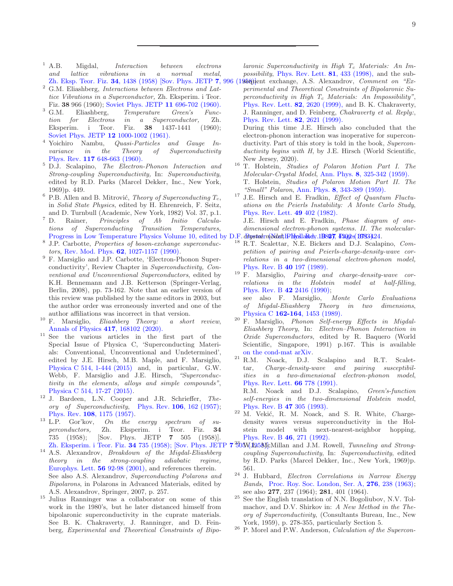- <span id="page-8-0"></span><sup>1</sup> A.B. Migdal, *Interaction between electrons* and lattice vibrations in a normal metal,
- <sup>2</sup> G.M. Eliashberg, Interactions between Electrons and Lattice Vibrations in a Superconductor, Zh. Eksperim. i Teor.
- Fiz. **38** 966 (1960); [Soviet Phys. JETP](http://www.w2agz.com/Library/Classic%20Papers%20in%20Superconductivity/Eliashberg,%20e-p%20Interactions%20in%20SCs,%20Sov-Phys%20JETP%2011,%20696%20(1960).pdf) 11 696-702 (1960).<br><sup>3</sup> G.M. Eliashberg, Temperature Green's Func-Eliashberg, Temperature Green's Func-<br>  $\emph{r}$  Electrons in a Superconductor, Zh.  $tion for$  Electrons in a Superconductor, Eksperim. i Teor. Fiz. 38 1437-1441 (1960); [Soviet Phys. JETP](http://www.jetp.ac.ru/cgi-bin/dn/e_012_05_1000.pdf) 12 1000-1002 (1961).<br>Yoichiro Nambu, *Quasi-Particles a*
- $4$  Yoichiro Nambu, Quasi-Particles and Gauge Invariance in the Theory of Superconductivity Phys. Rev. 117 [648-663 \(1960\).](https://journals.aps.org/pr/abstract/10.1103/PhysRev.117.648)
- <sup>5</sup> D.J. Scalapino, The Electron-Phonon Interaction and Strong-coupling Superconductivity, In: Superconductivity, edited by R.D. Parks (Marcel Dekker, Inc., New York, 1969)p. 449.
- $6$  P.B. Allen and B. Mitrović, Theory of Superconducting  $T_c$ , in Solid State Physics, edited by H. Ehrenreich, F. Seitz,
- and D. Turnbull (Academic, New York, 1982) Vol. 37, p.1.<br><sup>7</sup> D. Rainer. *Principles of Ab Initio Calcula*-Rainer, Principles of Ab Initio Calculations of Superconducting Transition Temperatures,
- 8 J.P. Carbotte, Properties of boson-exchange superconductors, Rev. Mod. Phys. 62[, 1027-1157 \(1990\).](https://journals.aps.org/rmp/abstract/10.1103/RevModPhys.62.1027)
- <sup>9</sup> F. Marsiglio and J.P. Carbotte, 'Electron-Phonon Superconductivity', Review Chapter in Superconductivity, Conventional and Unconventional Superconductors, edited by K.H. Bennemann and J.B. Ketterson (Springer-Verlag, Berlin, 2008), pp. 73-162. Note that an earlier version of this review was published by the same editors in 2003, but the author order was erroneously inverted and one of the author affiliations was incorrect in that version.
- <span id="page-8-1"></span> $10$  F. Marsiglio, *Eliashberg Theory: a short review*, [Annals of Physics](https://www.sciencedirect.com/science/article/pii/S000349162030035X) 417, 168102 (2020).
- <span id="page-8-2"></span><sup>11</sup> See the various articles in the first part of the Special Issue of Physica C, 'Superconducting Materials: Conventional, Unconventional and Undetermined', edited by J.E. Hirsch, M.B. Maple, and F. Marsiglio, [Physica C 514, 1-444 \(2015\)](https://www.sciencedirect.com/journal/physica-c-superconductivity-and-its-applications/vol/514/suppl/C) and, in particular, G.W. Webb, F. Marsiglio and J.E. Hirsch, "Superconductivity in the elements, alloys and simple compounds", [Physica C 514, 17-27 \(2015\).](https://www.sciencedirect.com/science/article/pii/S0921453415000933)
- <span id="page-8-3"></span><sup>12</sup> J. Bardeen, L.N. Cooper and J.R. Schrieffer, Theory of Superconductivity, Phys. Rev. 106[, 162 \(1957\);](https://journals.aps.org/pr/abstract/10.1103/PhysRev.106.162) Phys. Rev.  $108$ ,  $1175$  (1957).<br><sup>13</sup> L.P. Gor'kov, *On the*
- <span id="page-8-4"></span> $On$  the energy spectrum of superconductors, Zh. Eksperim. i Teor. Fiz. 34 735 (1958); [Sov. Phys. JETP 7 505 (1958)]. Zh. Eksperim. i Teor. Fiz. 34 735 (1958); [Sov. Phys. JETI
- <span id="page-8-5"></span><sup>14</sup> A.S. Alexandrov, Breakdown of the Migdal-Eliashberg theory in the strong-coupling adiabatic regime, [Europhys. Lett.](https://iopscience.iop.org/article/10.1209/epl/i2001-00492-x/fulltext/) 56 92-98 (2001), and references therein. See also A.S. Alexandrov, Superconducting Polarons and Bipolarons, in Polarons in Advanced Materials, edited by A.S. Alexandrov, Springer, 2007, p. 257.
- <span id="page-8-6"></span><sup>15</sup> Julius Ranninger was a collaborator on some of this work in the 1980's, but he later distanced himself from bipolaronic superconductivity in the cuprate materials. See B. K. Chakraverty, J. Ranninger, and D. Feinberg, Experimental and Theoretical Constraints of Bipo-

laronic Superconductivity in High  $T_c$  Materials: An Impossibility, [Phys. Rev. Lett.](https://journals.aps.org/prl/abstract/10.1103/PhysRevLett.81.433) 81, 433 (1998), and the sub-

 $Zh$ . Eksp. Teor. Fiz. 34[, 1438 \(1958\) \[Sov. Phys. JETP](http://www.jetp.ac.ru/cgi-bin/dn/e_007_06_0996.pdf) 7, 996 (1958)]ent exchange, A.S. Alexandrov, *Comment on* "Experimental and Theoretical Constraints of Bipolaronic Superconductivity in High  $T_c$  Materials: An Impossibility", [Phys. Rev. Lett.](https://journals.aps.org/prl/abstract/10.1103/PhysRevLett.82.2620) 82, 2620 (1999), and B. K. Chakraverty, J. Ranninger, and D. Feinberg, Chakraverty et al. Reply:, [Phys. Rev. Lett.](https://journals.aps.org/prl/abstract/10.1103/PhysRevLett.82.2621) 82, 2621 (1999).

During this time J.E. Hirsch also concluded that the electron-phonon interaction was inoperative for superconductivity. Part of this story is told in the book, Superconductivity begins with H, by J.E. Hirsch (World Scientific, New Jersey, 2020).

- <span id="page-8-7"></span><sup>16</sup> T. Holstein, Studies of Polaron Motion Part I. The Molecular-Crystal Model, Ann. Phys. 8[, 325-342 \(1959\).](https://www.sciencedirect.com/science/article/pii/0003491659900028?via%3Dihub) T. Holstein, Studies of Polaron Motion Part II. The "Small" Polaron, Ann. Phys. 8[, 343-389 \(1959\).](https://www.sciencedirect.com/science/article/pii/000349165990003X?via%3Dihub)
- <span id="page-8-8"></span> $17$  J.E. Hirsch and E. Fradkin, *Effect of Quantum Fluctu*ations on the Peierls Instability: A Monte Carlo Study, [Phys. Rev. Lett.](https://journals.aps.org/prl/abstract/10.1103/PhysRevLett.49.402) 49 402 (1982).

Progress in Low Temperature Physics Volume 10, edited by D.F. *Brystalrn(bldat*, IPHysllaRdy. 1B82), P302e(B783).24. J.E. Hirsch and E. Fradkin, Phase diagram of onedimensional electron-phonon systems. II. The molecular-

- <span id="page-8-9"></span>R.T. Scalettar, N.E. Bickers and D.J. Scalapino, Competition of pairing and Peierls-charge-density-wave correlations in a two-dimensional electron-phonon model, [Phys. Rev. B](https://journals.aps.org/prb/abstract/10.1103/PhysRevB.40.197) 40 197 (1989).
- <span id="page-8-15"></span> $19 F.$  Marsiglio, *Pairing and charge-density-wave cor*relations in the Holstein model at half-filling, [Phys. Rev. B](https://journals.aps.org/prb/abstract/10.1103/PhysRevB.42.2416) 42 2416 (1990); see also F. Marsiglio, Monte Carlo Evaluations

of Migdal-Eliashberg Theory in two dimensions, Physica C 162-164[, 1453 \(1989\).](https://www.sciencedirect.com/science/article/pii/0921453489907685?via%3Dihub)

- <span id="page-8-16"></span><sup>20</sup> F. Marsiglio, Phonon Self-energy Effects in Migdal-Eliashberg Theory, In: Electron–Phonon Interaction in Oxide Superconductors, edited by R. Baquero (World Scientific, Singapore, 1991) p.167. This is available [on the cond-mat arXiv.](https://arxiv.org/abs/2101.12084)
- <sup>21</sup> R.M. Noack, D.J. Scalapino and R.T. Scalettar, Charge-density-wave and pairing susceptibilities in a two-dimensional electron-phonon model, [Phys. Rev. Lett.](https://journals.aps.org/prl/abstract/10.1103/PhysRevLett.66.778) 66 778 (1991). R.M. Noack and D.J. Scalapino, Green's-function self-energies in the two-dimensional Holstein model,

[Phys. Rev. B](https://journals./aps.org/prb/abstract/10.1103/PhysRevB.47.305) 47 305 (1993).  $22$  M. Vekić, R. M. Noack, and S. R. White, Charge-

- <span id="page-8-10"></span>density waves versus superconductivity in the Holstein model with next-nearest-neighbor hopping, [Phys. Rev. B](https://journals.aps.org/prb/abstract/10.1103/PhysRevB.46.271) 46, 271 (1992).
- <span id="page-8-11"></span>**7** 30 MJ958 CMillan and J.M. Rowell, Tunneling and Strongcoupling Superconductivity, In: Superconductivity, edited by R.D. Parks (Marcel Dekker, Inc., New York, 1969)p. 561.
- <span id="page-8-12"></span><sup>24</sup> J. Hubbard, Electron Correlations in Narrow Energy Bands, [Proc. Roy. Soc. London, Ser. A,](https://royalsocietypublishing.org/doi/10.1098/rspa.1963.0204) 276, 238 (1963); see also **277**, 237 (1964); **281**, 401 (1964).
- <span id="page-8-13"></span><sup>25</sup> See the English translation of N.N. Bogoliubov, N.V. Tolmachov, and D.V. Shirkov in: A New Method in the Theory of Superconductivity, (Consultants Bureau, Inc., New York, 1959), p. 278-355, particularly Section 5.
- <span id="page-8-14"></span><sup>26</sup> P. Morel and P.W. Anderson, Calculation of the Supercon-